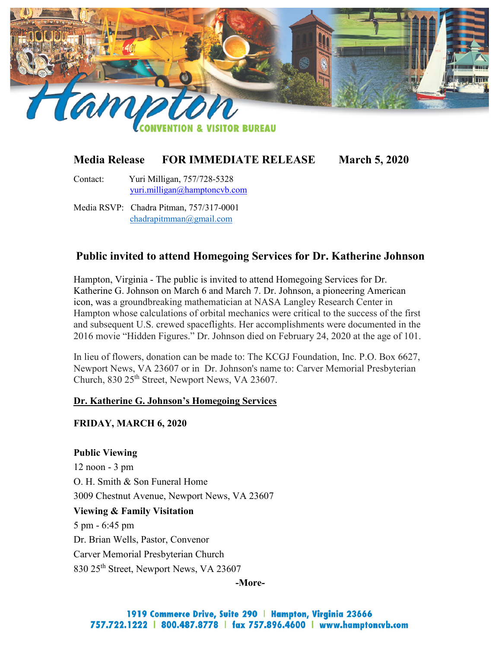

# **Media Release FOR IMMEDIATE RELEASE March 5, 2020**

Contact: Yuri Milligan, 757/728-5328 [yuri.milligan@hamptoncvb.com](mailto:yuri.milligan@hamptoncvb.com)

Media RSVP: Chadra Pitman, 757/317-0001 chadrapitmman@gmail.com

## **Public invited to attend Homegoing Services for Dr. Katherine Johnson**

Hampton, Virginia - The public is invited to attend Homegoing Services for Dr. Katherine G. Johnson on March 6 and March 7. Dr. Johnson, a pioneering American icon, was a groundbreaking mathematician at NASA Langley Research Center in Hampton whose calculations of orbital mechanics were critical to the success of the first and subsequent U.S. crewed spaceflights. Her accomplishments were documented in the 2016 movie "Hidden Figures." Dr. Johnson died on February 24, 2020 at the age of 101.

In lieu of flowers, donation can be made to: The KCGJ Foundation, Inc. P.O. Box 6627, Newport News, VA 23607 or in Dr. Johnson's name to: Carver Memorial Presbyterian Church, 830 25<sup>th</sup> Street, Newport News, VA 23607.

#### **Dr. Katherine G. Johnson's Homegoing Services**

#### **FRIDAY, MARCH 6, 2020**

**Public Viewing** 12 noon - 3 pm O. H. Smith & Son Funeral Home 3009 Chestnut Avenue, Newport News, VA 23607 **Viewing & Family Visitation** 5 pm - 6:45 pm Dr. Brian Wells, Pastor, Convenor Carver Memorial Presbyterian Church 830 25th Street, Newport News, VA 23607

**-More-**